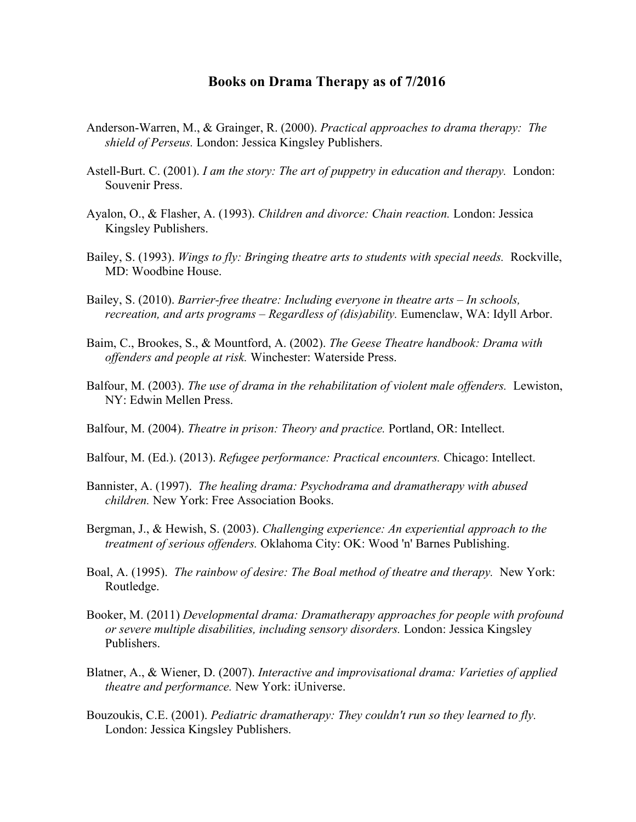## **Books on Drama Therapy as of 7/2016**

- Anderson-Warren, M., & Grainger, R. (2000). *Practical approaches to drama therapy: The shield of Perseus.* London: Jessica Kingsley Publishers.
- Astell-Burt. C. (2001). *I am the story: The art of puppetry in education and therapy.* London: Souvenir Press.
- Ayalon, O., & Flasher, A. (1993). *Children and divorce: Chain reaction.* London: Jessica Kingsley Publishers.
- Bailey, S. (1993). *Wings to fly: Bringing theatre arts to students with special needs.* Rockville, MD: Woodbine House.
- Bailey, S. (2010). *Barrier-free theatre: Including everyone in theatre arts – In schools, recreation, and arts programs – Regardless of (dis)ability.* Eumenclaw, WA: Idyll Arbor.
- Baim, C., Brookes, S., & Mountford, A. (2002). *The Geese Theatre handbook: Drama with offenders and people at risk.* Winchester: Waterside Press.
- Balfour, M. (2003). *The use of drama in the rehabilitation of violent male offenders.* Lewiston, NY: Edwin Mellen Press.
- Balfour, M. (2004). *Theatre in prison: Theory and practice.* Portland, OR: Intellect.
- Balfour, M. (Ed.). (2013). *Refugee performance: Practical encounters.* Chicago: Intellect.
- Bannister, A. (1997). *The healing drama: Psychodrama and dramatherapy with abused children.* New York: Free Association Books.
- Bergman, J., & Hewish, S. (2003). *Challenging experience: An experiential approach to the treatment of serious offenders.* Oklahoma City: OK: Wood 'n' Barnes Publishing.
- Boal, A. (1995). *The rainbow of desire: The Boal method of theatre and therapy.* New York: Routledge.
- Booker, M. (2011) *Developmental drama: Dramatherapy approaches for people with profound or severe multiple disabilities, including sensory disorders.* London: Jessica Kingsley Publishers.
- Blatner, A., & Wiener, D. (2007). *Interactive and improvisational drama: Varieties of applied theatre and performance.* New York: iUniverse.
- Bouzoukis, C.E. (2001). *Pediatric dramatherapy: They couldn't run so they learned to fly.* London: Jessica Kingsley Publishers.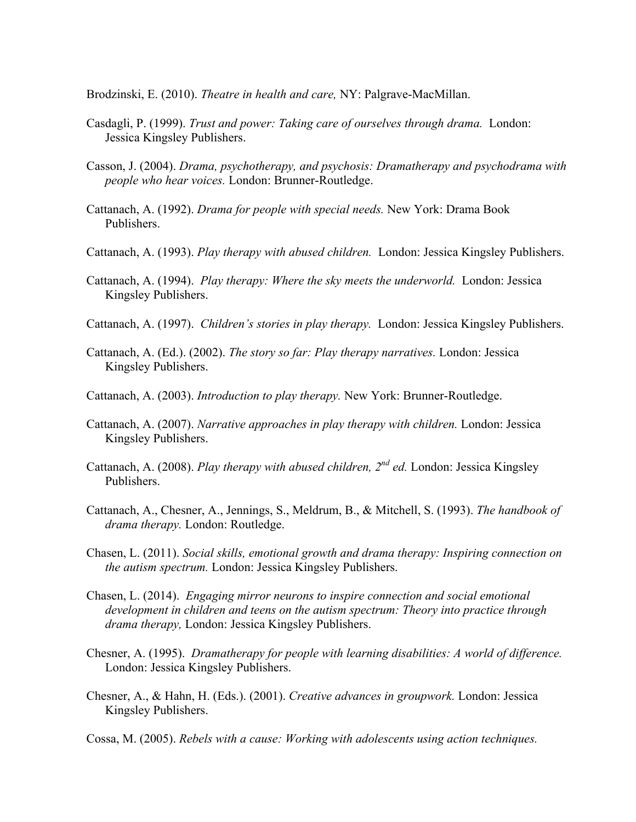Brodzinski, E. (2010). *Theatre in health and care,* NY: Palgrave-MacMillan.

- Casdagli, P. (1999). *Trust and power: Taking care of ourselves through drama.* London: Jessica Kingsley Publishers.
- Casson, J. (2004). *Drama, psychotherapy, and psychosis: Dramatherapy and psychodrama with people who hear voices.* London: Brunner-Routledge.
- Cattanach, A. (1992). *Drama for people with special needs.* New York: Drama Book Publishers.
- Cattanach, A. (1993). *Play therapy with abused children.* London: Jessica Kingsley Publishers.
- Cattanach, A. (1994). *Play therapy: Where the sky meets the underworld.* London: Jessica Kingsley Publishers.
- Cattanach, A. (1997). *Children's stories in play therapy.* London: Jessica Kingsley Publishers.
- Cattanach, A. (Ed.). (2002). *The story so far: Play therapy narratives.* London: Jessica Kingsley Publishers.
- Cattanach, A. (2003). *Introduction to play therapy.* New York: Brunner-Routledge.
- Cattanach, A. (2007). *Narrative approaches in play therapy with children.* London: Jessica Kingsley Publishers.
- Cattanach, A. (2008). *Play therapy with abused children, 2nd ed.* London: Jessica Kingsley Publishers.
- Cattanach, A., Chesner, A., Jennings, S., Meldrum, B., & Mitchell, S. (1993). *The handbook of drama therapy.* London: Routledge.
- Chasen, L. (2011). *Social skills, emotional growth and drama therapy: Inspiring connection on the autism spectrum.* London: Jessica Kingsley Publishers.
- Chasen, L. (2014). *Engaging mirror neurons to inspire connection and social emotional development in children and teens on the autism spectrum: Theory into practice through drama therapy,* London: Jessica Kingsley Publishers.
- Chesner, A. (1995). *Dramatherapy for people with learning disabilities: A world of difference.* London: Jessica Kingsley Publishers.
- Chesner, A., & Hahn, H. (Eds.). (2001). *Creative advances in groupwork.* London: Jessica Kingsley Publishers.
- Cossa, M. (2005). *Rebels with a cause: Working with adolescents using action techniques.*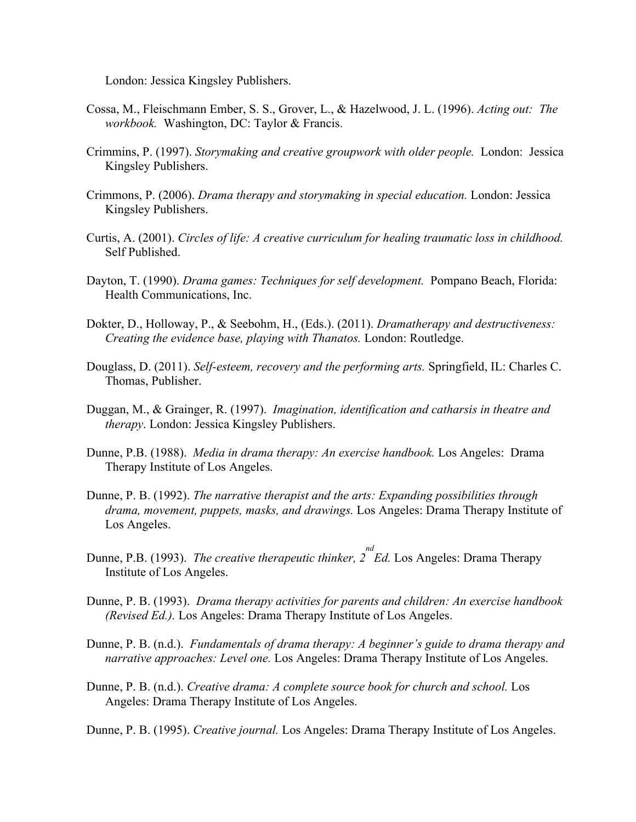London: Jessica Kingsley Publishers.

- Cossa, M., Fleischmann Ember, S. S., Grover, L., & Hazelwood, J. L. (1996). *Acting out: The workbook.* Washington, DC: Taylor & Francis.
- Crimmins, P. (1997). *Storymaking and creative groupwork with older people.* London: Jessica Kingsley Publishers.
- Crimmons, P. (2006). *Drama therapy and storymaking in special education.* London: Jessica Kingsley Publishers.
- Curtis, A. (2001). *Circles of life: A creative curriculum for healing traumatic loss in childhood.*  Self Published.
- Dayton, T. (1990). *Drama games: Techniques for self development.* Pompano Beach, Florida: Health Communications, Inc.
- Dokter, D., Holloway, P., & Seebohm, H., (Eds.). (2011). *Dramatherapy and destructiveness: Creating the evidence base, playing with Thanatos.* London: Routledge.
- Douglass, D. (2011). *Self-esteem, recovery and the performing arts.* Springfield, IL: Charles C. Thomas, Publisher.
- Duggan, M., & Grainger, R. (1997). *Imagination, identification and catharsis in theatre and therapy*. London: Jessica Kingsley Publishers.
- Dunne, P.B. (1988). *Media in drama therapy: An exercise handbook.* Los Angeles: Drama Therapy Institute of Los Angeles.
- Dunne, P. B. (1992). *The narrative therapist and the arts: Expanding possibilities through drama, movement, puppets, masks, and drawings.* Los Angeles: Drama Therapy Institute of Los Angeles.
- Dunne, P.B. (1993). *The creative therapeutic thinker, 2 nd Ed.* Los Angeles: Drama Therapy Institute of Los Angeles.
- Dunne, P. B. (1993). *Drama therapy activities for parents and children: An exercise handbook (Revised Ed.).* Los Angeles: Drama Therapy Institute of Los Angeles.
- Dunne, P. B. (n.d.). *Fundamentals of drama therapy: A beginner's guide to drama therapy and narrative approaches: Level one.* Los Angeles: Drama Therapy Institute of Los Angeles.
- Dunne, P. B. (n.d.). *Creative drama: A complete source book for church and school.* Los Angeles: Drama Therapy Institute of Los Angeles.

Dunne, P. B. (1995). *Creative journal.* Los Angeles: Drama Therapy Institute of Los Angeles.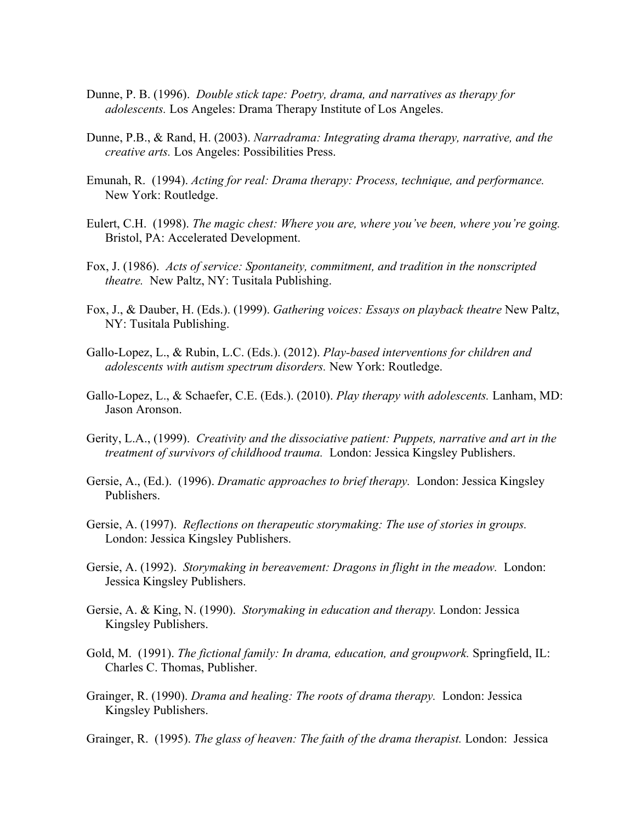- Dunne, P. B. (1996). *Double stick tape: Poetry, drama, and narratives as therapy for adolescents.* Los Angeles: Drama Therapy Institute of Los Angeles.
- Dunne, P.B., & Rand, H. (2003). *Narradrama: Integrating drama therapy, narrative, and the creative arts.* Los Angeles: Possibilities Press.
- Emunah, R. (1994). *Acting for real: Drama therapy: Process, technique, and performance.* New York: Routledge.
- Eulert, C.H. (1998). *The magic chest: Where you are, where you've been, where you're going.*  Bristol, PA: Accelerated Development.
- Fox, J. (1986). *Acts of service: Spontaneity, commitment, and tradition in the nonscripted theatre.* New Paltz, NY: Tusitala Publishing.
- Fox, J., & Dauber, H. (Eds.). (1999). *Gathering voices: Essays on playback theatre* New Paltz, NY: Tusitala Publishing.
- Gallo-Lopez, L., & Rubin, L.C. (Eds.). (2012). *Play-based interventions for children and adolescents with autism spectrum disorders.* New York: Routledge.
- Gallo-Lopez, L., & Schaefer, C.E. (Eds.). (2010). *Play therapy with adolescents.* Lanham, MD: Jason Aronson.
- Gerity, L.A., (1999). *Creativity and the dissociative patient: Puppets, narrative and art in the treatment of survivors of childhood trauma.* London: Jessica Kingsley Publishers.
- Gersie, A., (Ed.). (1996). *Dramatic approaches to brief therapy.* London: Jessica Kingsley Publishers.
- Gersie, A. (1997). *Reflections on therapeutic storymaking: The use of stories in groups.* London: Jessica Kingsley Publishers.
- Gersie, A. (1992). *Storymaking in bereavement: Dragons in flight in the meadow.* London: Jessica Kingsley Publishers.
- Gersie, A. & King, N. (1990). *Storymaking in education and therapy.* London: Jessica Kingsley Publishers.
- Gold, M. (1991). *The fictional family: In drama, education, and groupwork.* Springfield, IL: Charles C. Thomas, Publisher.
- Grainger, R. (1990). *Drama and healing: The roots of drama therapy.* London: Jessica Kingsley Publishers.
- Grainger, R. (1995). *The glass of heaven: The faith of the drama therapist.* London: Jessica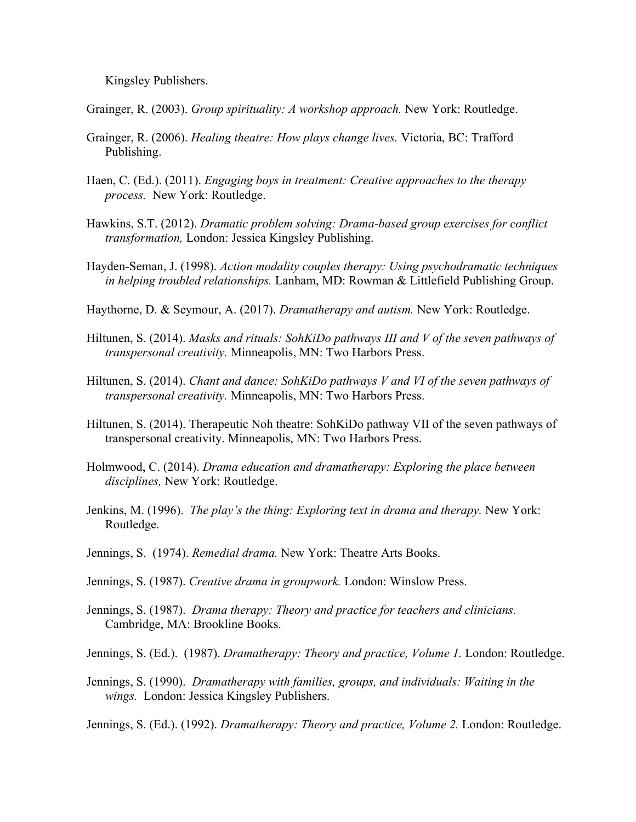Kingsley Publishers.

Grainger, R. (2003). *Group spirituality: A workshop approach.* New York: Routledge.

- Grainger, R. (2006). *Healing theatre: How plays change lives.* Victoria, BC: Trafford Publishing.
- Haen, C. (Ed.). (2011). *Engaging boys in treatment: Creative approaches to the therapy process.* New York: Routledge.
- Hawkins, S.T. (2012). *Dramatic problem solving: Drama-based group exercises for conflict transformation,* London: Jessica Kingsley Publishing.
- Hayden-Seman, J. (1998). *Action modality couples therapy: Using psychodramatic techniques in helping troubled relationships.* Lanham, MD: Rowman & Littlefield Publishing Group.
- Haythorne, D. & Seymour, A. (2017). *Dramatherapy and autism.* New York: Routledge.
- Hiltunen, S. (2014). *Masks and rituals: SohKiDo pathways III and V of the seven pathways of transpersonal creativity.* Minneapolis, MN: Two Harbors Press.
- Hiltunen, S. (2014). *Chant and dance: SohKiDo pathways V and VI of the seven pathways of transpersonal creativity.* Minneapolis, MN: Two Harbors Press.
- Hiltunen, S. (2014). Therapeutic Noh theatre: SohKiDo pathway VII of the seven pathways of transpersonal creativity. Minneapolis, MN: Two Harbors Press.
- Holmwood, C. (2014). *Drama education and dramatherapy: Exploring the place between disciplines,* New York: Routledge.
- Jenkins, M. (1996). *The play's the thing: Exploring text in drama and therapy.* New York: Routledge.
- Jennings, S. (1974). *Remedial drama.* New York: Theatre Arts Books.
- Jennings, S. (1987). *Creative drama in groupwork.* London: Winslow Press.
- Jennings, S. (1987). *Drama therapy: Theory and practice for teachers and clinicians.* Cambridge, MA: Brookline Books.
- Jennings, S. (Ed.). (1987). *Dramatherapy: Theory and practice, Volume 1.* London: Routledge.
- Jennings, S. (1990). *Dramatherapy with families, groups, and individuals: Waiting in the wings.* London: Jessica Kingsley Publishers.

Jennings, S. (Ed.). (1992). *Dramatherapy: Theory and practice, Volume 2.* London: Routledge.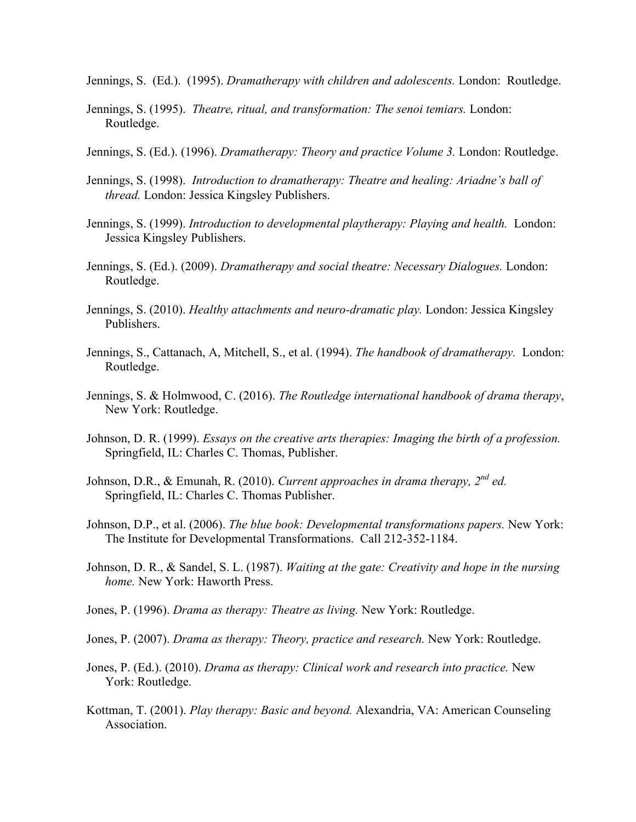Jennings, S. (Ed.). (1995). *Dramatherapy with children and adolescents.* London: Routledge.

- Jennings, S. (1995). *Theatre, ritual, and transformation: The senoi temiars.* London: Routledge.
- Jennings, S. (Ed.). (1996). *Dramatherapy: Theory and practice Volume 3.* London: Routledge.
- Jennings, S. (1998). *Introduction to dramatherapy: Theatre and healing: Ariadne's ball of thread.* London: Jessica Kingsley Publishers.
- Jennings, S. (1999). *Introduction to developmental playtherapy: Playing and health.* London: Jessica Kingsley Publishers.
- Jennings, S. (Ed.). (2009). *Dramatherapy and social theatre: Necessary Dialogues.* London: Routledge.
- Jennings, S. (2010). *Healthy attachments and neuro-dramatic play.* London: Jessica Kingsley Publishers.
- Jennings, S., Cattanach, A, Mitchell, S., et al. (1994). *The handbook of dramatherapy.* London: Routledge.
- Jennings, S. & Holmwood, C. (2016). *The Routledge international handbook of drama therapy*, New York: Routledge.
- Johnson, D. R. (1999). *Essays on the creative arts therapies: Imaging the birth of a profession.* Springfield, IL: Charles C. Thomas, Publisher.
- Johnson, D.R., & Emunah, R. (2010). *Current approaches in drama therapy, 2nd ed.*  Springfield, IL: Charles C. Thomas Publisher.
- Johnson, D.P., et al. (2006). *The blue book: Developmental transformations papers.* New York: The Institute for Developmental Transformations. Call 212-352-1184.
- Johnson, D. R., & Sandel, S. L. (1987). *Waiting at the gate: Creativity and hope in the nursing home.* New York: Haworth Press.
- Jones, P. (1996). *Drama as therapy: Theatre as living.* New York: Routledge.
- Jones, P. (2007). *Drama as therapy: Theory, practice and research.* New York: Routledge.
- Jones, P. (Ed.). (2010). *Drama as therapy: Clinical work and research into practice.* New York: Routledge.
- Kottman, T. (2001). *Play therapy: Basic and beyond.* Alexandria, VA: American Counseling Association.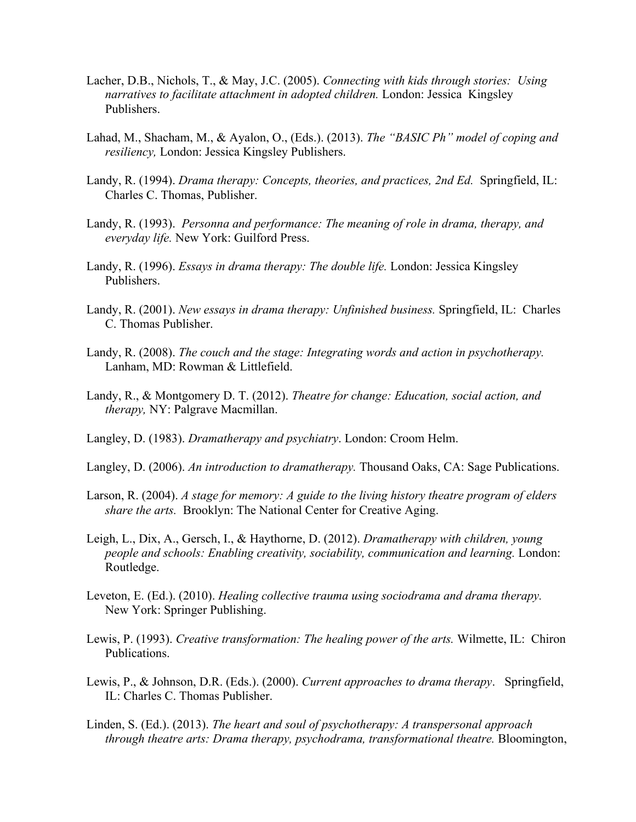- Lacher, D.B., Nichols, T., & May, J.C. (2005). *Connecting with kids through stories: Using narratives to facilitate attachment in adopted children.* London: Jessica Kingsley Publishers.
- Lahad, M., Shacham, M., & Ayalon, O., (Eds.). (2013). *The "BASIC Ph" model of coping and resiliency,* London: Jessica Kingsley Publishers.
- Landy, R. (1994). *Drama therapy: Concepts, theories, and practices, 2nd Ed.* Springfield, IL: Charles C. Thomas, Publisher.
- Landy, R. (1993). *Personna and performance: The meaning of role in drama, therapy, and everyday life.* New York: Guilford Press.
- Landy, R. (1996). *Essays in drama therapy: The double life.* London: Jessica Kingsley Publishers.
- Landy, R. (2001). *New essays in drama therapy: Unfinished business.* Springfield, IL: Charles C. Thomas Publisher.
- Landy, R. (2008). *The couch and the stage: Integrating words and action in psychotherapy.* Lanham, MD: Rowman & Littlefield.
- Landy, R., & Montgomery D. T. (2012). *Theatre for change: Education, social action, and therapy,* NY: Palgrave Macmillan.
- Langley, D. (1983). *Dramatherapy and psychiatry*. London: Croom Helm.
- Langley, D. (2006). *An introduction to dramatherapy.* Thousand Oaks, CA: Sage Publications.
- Larson, R. (2004). *A stage for memory: A guide to the living history theatre program of elders share the arts.* Brooklyn: The National Center for Creative Aging.
- Leigh, L., Dix, A., Gersch, I., & Haythorne, D. (2012). *Dramatherapy with children, young people and schools: Enabling creativity, sociability, communication and learning. London:* Routledge.
- Leveton, E. (Ed.). (2010). *Healing collective trauma using sociodrama and drama therapy.*  New York: Springer Publishing.
- Lewis, P. (1993). *Creative transformation: The healing power of the arts.* Wilmette, IL: Chiron Publications.
- Lewis, P., & Johnson, D.R. (Eds.). (2000). *Current approaches to drama therapy*. Springfield, IL: Charles C. Thomas Publisher.
- Linden, S. (Ed.). (2013). *The heart and soul of psychotherapy: A transpersonal approach through theatre arts: Drama therapy, psychodrama, transformational theatre.* Bloomington,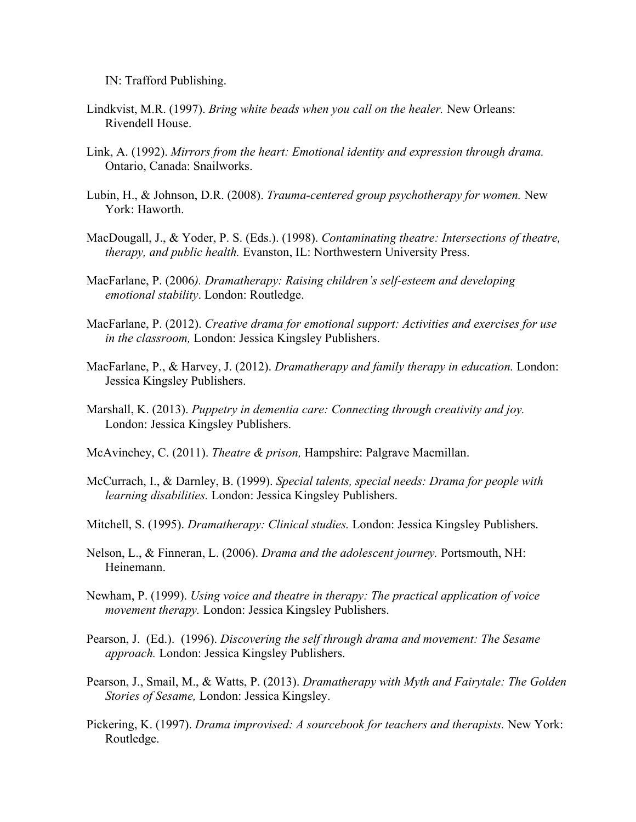IN: Trafford Publishing.

- Lindkvist, M.R. (1997). *Bring white beads when you call on the healer.* New Orleans: Rivendell House.
- Link, A. (1992). *Mirrors from the heart: Emotional identity and expression through drama.*  Ontario, Canada: Snailworks.
- Lubin, H., & Johnson, D.R. (2008). *Trauma-centered group psychotherapy for women.* New York: Haworth.
- MacDougall, J., & Yoder, P. S. (Eds.). (1998). *Contaminating theatre: Intersections of theatre, therapy, and public health.* Evanston, IL: Northwestern University Press.
- MacFarlane, P. (2006*). Dramatherapy: Raising children's self-esteem and developing emotional stability*. London: Routledge.
- MacFarlane, P. (2012). *Creative drama for emotional support: Activities and exercises for use in the classroom,* London: Jessica Kingsley Publishers.
- MacFarlane, P., & Harvey, J. (2012). *Dramatherapy and family therapy in education.* London: Jessica Kingsley Publishers.
- Marshall, K. (2013). *Puppetry in dementia care: Connecting through creativity and joy.*  London: Jessica Kingsley Publishers.
- McAvinchey, C. (2011). *Theatre & prison,* Hampshire: Palgrave Macmillan.
- McCurrach, I., & Darnley, B. (1999). *Special talents, special needs: Drama for people with learning disabilities.* London: Jessica Kingsley Publishers.
- Mitchell, S. (1995). *Dramatherapy: Clinical studies.* London: Jessica Kingsley Publishers.
- Nelson, L., & Finneran, L. (2006). *Drama and the adolescent journey.* Portsmouth, NH: Heinemann.
- Newham, P. (1999). *Using voice and theatre in therapy: The practical application of voice movement therapy.* London: Jessica Kingsley Publishers.
- Pearson, J. (Ed.). (1996). *Discovering the self through drama and movement: The Sesame approach.* London: Jessica Kingsley Publishers.
- Pearson, J., Smail, M., & Watts, P. (2013). *Dramatherapy with Myth and Fairytale: The Golden Stories of Sesame,* London: Jessica Kingsley.
- Pickering, K. (1997). *Drama improvised: A sourcebook for teachers and therapists.* New York: Routledge.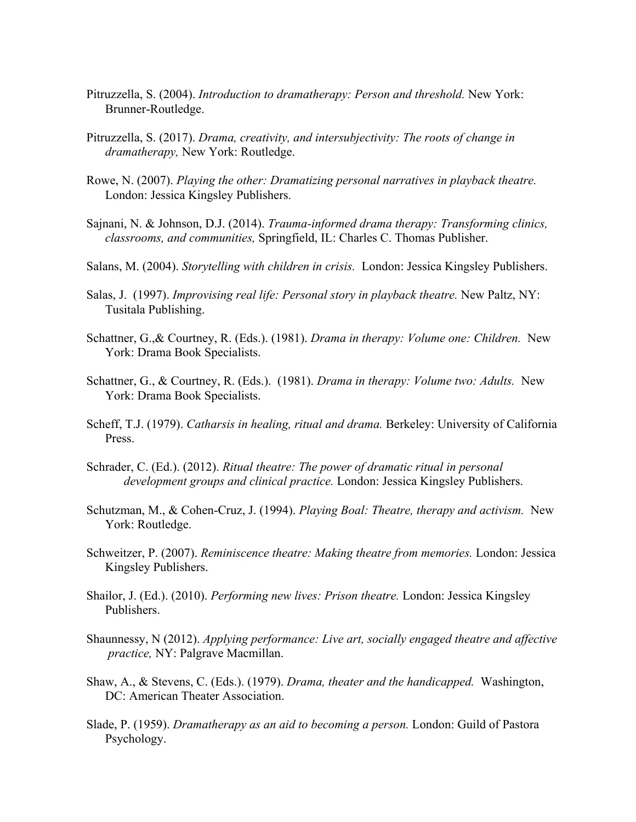- Pitruzzella, S. (2004). *Introduction to dramatherapy: Person and threshold.* New York: Brunner-Routledge.
- Pitruzzella, S. (2017). *Drama, creativity, and intersubjectivity: The roots of change in dramatherapy,* New York: Routledge.
- Rowe, N. (2007). *Playing the other: Dramatizing personal narratives in playback theatre.* London: Jessica Kingsley Publishers.
- Sajnani, N. & Johnson, D.J. (2014). *Trauma-informed drama therapy: Transforming clinics, classrooms, and communities,* Springfield, IL: Charles C. Thomas Publisher.
- Salans, M. (2004). *Storytelling with children in crisis.* London: Jessica Kingsley Publishers.
- Salas, J. (1997). *Improvising real life: Personal story in playback theatre.* New Paltz, NY: Tusitala Publishing.
- Schattner, G.,& Courtney, R. (Eds.). (1981). *Drama in therapy: Volume one: Children.* New York: Drama Book Specialists.
- Schattner, G., & Courtney, R. (Eds.). (1981). *Drama in therapy: Volume two: Adults.* New York: Drama Book Specialists.
- Scheff, T.J. (1979). *Catharsis in healing, ritual and drama.* Berkeley: University of California Press.
- Schrader, C. (Ed.). (2012). *Ritual theatre: The power of dramatic ritual in personal development groups and clinical practice.* London: Jessica Kingsley Publishers.
- Schutzman, M., & Cohen-Cruz, J. (1994). *Playing Boal: Theatre, therapy and activism.* New York: Routledge.
- Schweitzer, P. (2007). *Reminiscence theatre: Making theatre from memories.* London: Jessica Kingsley Publishers.
- Shailor, J. (Ed.). (2010). *Performing new lives: Prison theatre.* London: Jessica Kingsley Publishers.
- Shaunnessy, N (2012). *Applying performance: Live art, socially engaged theatre and affective practice,* NY: Palgrave Macmillan.
- Shaw, A., & Stevens, C. (Eds.). (1979). *Drama, theater and the handicapped.* Washington, DC: American Theater Association.
- Slade, P. (1959). *Dramatherapy as an aid to becoming a person.* London: Guild of Pastora Psychology.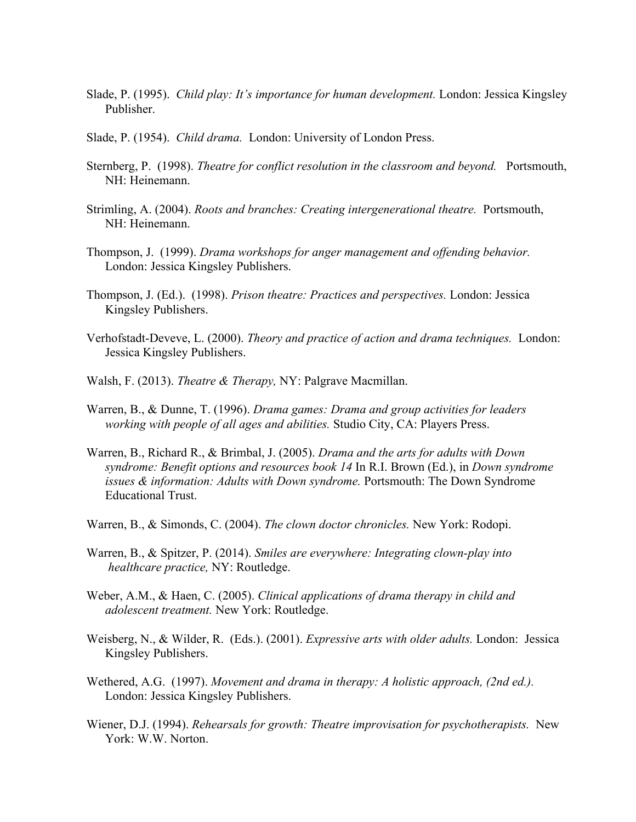- Slade, P. (1995). *Child play: It's importance for human development.* London: Jessica Kingsley Publisher.
- Slade, P. (1954). *Child drama.* London: University of London Press.
- Sternberg, P. (1998). *Theatre for conflict resolution in the classroom and beyond.* Portsmouth, NH: Heinemann.
- Strimling, A. (2004). *Roots and branches: Creating intergenerational theatre.* Portsmouth, NH: Heinemann.
- Thompson, J. (1999). *Drama workshops for anger management and offending behavior.* London: Jessica Kingsley Publishers.
- Thompson, J. (Ed.). (1998). *Prison theatre: Practices and perspectives.* London: Jessica Kingsley Publishers.
- Verhofstadt-Deveve, L. (2000). *Theory and practice of action and drama techniques.* London: Jessica Kingsley Publishers.
- Walsh, F. (2013). *Theatre & Therapy,* NY: Palgrave Macmillan.
- Warren, B., & Dunne, T. (1996). *Drama games: Drama and group activities for leaders working with people of all ages and abilities.* Studio City, CA: Players Press.
- Warren, B., Richard R., & Brimbal, J. (2005). *Drama and the arts for adults with Down syndrome: Benefit options and resources book 14* In R.I. Brown (Ed.), in *Down syndrome issues & information: Adults with Down syndrome.* Portsmouth: The Down Syndrome Educational Trust.
- Warren, B., & Simonds, C. (2004). *The clown doctor chronicles.* New York: Rodopi.
- Warren, B., & Spitzer, P. (2014). *Smiles are everywhere: Integrating clown-play into healthcare practice,* NY: Routledge.
- Weber, A.M., & Haen, C. (2005). *Clinical applications of drama therapy in child and adolescent treatment.* New York: Routledge.
- Weisberg, N., & Wilder, R. (Eds.). (2001). *Expressive arts with older adults.* London: Jessica Kingsley Publishers.
- Wethered, A.G. (1997). *Movement and drama in therapy: A holistic approach, (2nd ed.).* London: Jessica Kingsley Publishers.
- Wiener, D.J. (1994). *Rehearsals for growth: Theatre improvisation for psychotherapists.* New York: W.W. Norton.